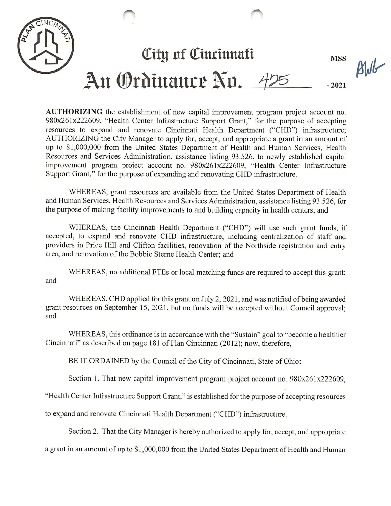

AUTHORIZING the establishment of new capital improvement program project account no. 980x261x222609, "Health Center Infrastructure Support Grant," for the purpose of accepting resources to expand and renovate Cincinnati Health Department ("CHD") infrastructure; AUTHORIZING the City Manager to apply for, accept, and appropriate a grant in an amount of up to \$1,000,000 from the United States Department of Health and Human Services, Health Resources and Services Administration, assistance listing 93.526, to newly established capital improvement program project account no. 980x261x222609, "Health Center Infrastructure Support Grant," for the purpose of expanding and renovating CHD infrastructure.

WHEREAS, grant resources are available from the United States Department of Health and Human Services, Health Resources and Services Administration, assistance listing 93.526, for the purpose of making facility improvements to and building capacity in health centers; and

WHEREAS, the Cincinnati Health Department ("CHD") will use such grant funds, if accepted, to expand and renovate CHD infrastructure, including centralization of staff and providers in Price Hill and Clifton facilities, renovation of the Northside registration and entry area, and renovation of the Bobbie Sterne Health Center; and

WHEREAS, no additional FTEs or local matching funds are required to accept this grant; and

WHEREAS, CHD applied for this grant on July 2,2021, and was notified of being awarded grant resources on September 15, 2021, but no funds will be accepted without Council approval; and

WHEREAS, this ordinance is in accordance with the "Sustain" goal to "become a healthier Cincinnati" as described on page 181 of Plan Cincinnati (2012); now, therefore,

BE IT ORDAINED by the Council of the City of Cincinnati, State of Ohio:

Section 1. That new capital improvement program project account no. 980x261x222609,

"Health Center Infrastructure Support Grant," is established for the purpose of accepting resources

to expand and renovate Cincinnati Health Department ("CHD") infrastructure.

Section 2. That the City Manager is hereby authorized to apply for, accept, and appropriate

a grant in an amount of up to \$1,000,000 from the United States Department of Health and Human